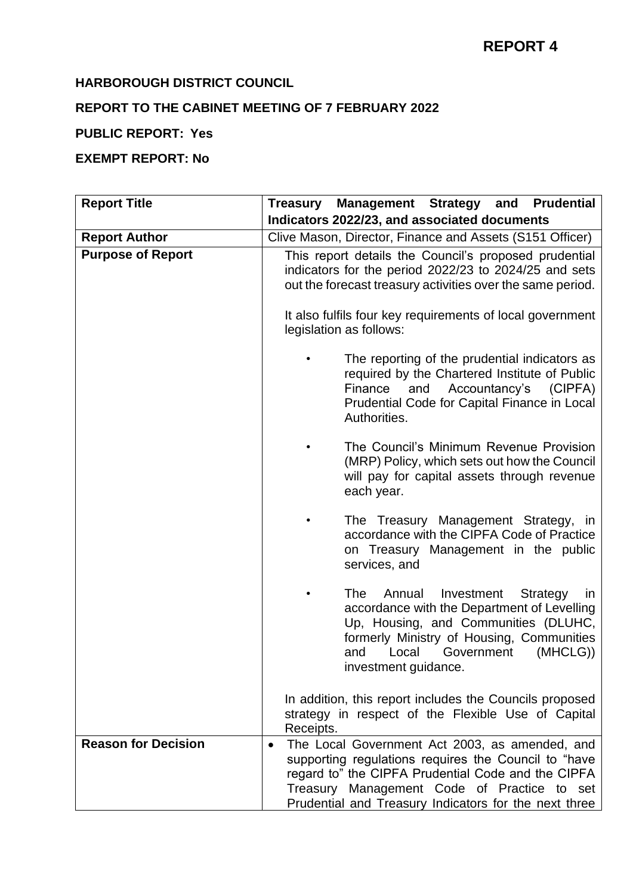# **HARBOROUGH DISTRICT COUNCIL**

# **REPORT TO THE CABINET MEETING OF 7 FEBRUARY 2022**

# **PUBLIC REPORT: Yes**

# **EXEMPT REPORT: No**

| <b>Report Title</b>        | <b>Prudential</b><br>Treasury Management Strategy and                                                                                                                                                                                                                |  |  |
|----------------------------|----------------------------------------------------------------------------------------------------------------------------------------------------------------------------------------------------------------------------------------------------------------------|--|--|
|                            | Indicators 2022/23, and associated documents                                                                                                                                                                                                                         |  |  |
| <b>Report Author</b>       | Clive Mason, Director, Finance and Assets (S151 Officer)                                                                                                                                                                                                             |  |  |
| <b>Purpose of Report</b>   | This report details the Council's proposed prudential<br>indicators for the period 2022/23 to 2024/25 and sets<br>out the forecast treasury activities over the same period.<br>It also fulfils four key requirements of local government<br>legislation as follows: |  |  |
|                            |                                                                                                                                                                                                                                                                      |  |  |
|                            | The reporting of the prudential indicators as<br>required by the Chartered Institute of Public<br>Accountancy's<br>Finance<br>and<br>(CIPFA)<br>Prudential Code for Capital Finance in Local<br>Authorities.                                                         |  |  |
|                            | The Council's Minimum Revenue Provision<br>(MRP) Policy, which sets out how the Council<br>will pay for capital assets through revenue<br>each year.                                                                                                                 |  |  |
|                            | The Treasury Management Strategy, in<br>accordance with the CIPFA Code of Practice<br>on Treasury Management in the public<br>services, and                                                                                                                          |  |  |
|                            | The<br>Annual<br>Investment<br>Strategy<br>ın<br>accordance with the Department of Levelling<br>Up, Housing, and Communities (DLUHC,<br>formerly Ministry of Housing, Communities<br>Local<br>(MHCLG)<br>and<br>Government<br>investment guidance.                   |  |  |
|                            | In addition, this report includes the Councils proposed<br>strategy in respect of the Flexible Use of Capital<br>Receipts.                                                                                                                                           |  |  |
| <b>Reason for Decision</b> | The Local Government Act 2003, as amended, and<br>supporting regulations requires the Council to "have<br>regard to" the CIPFA Prudential Code and the CIPFA<br>Treasury Management Code of Practice to set<br>Prudential and Treasury Indicators for the next three |  |  |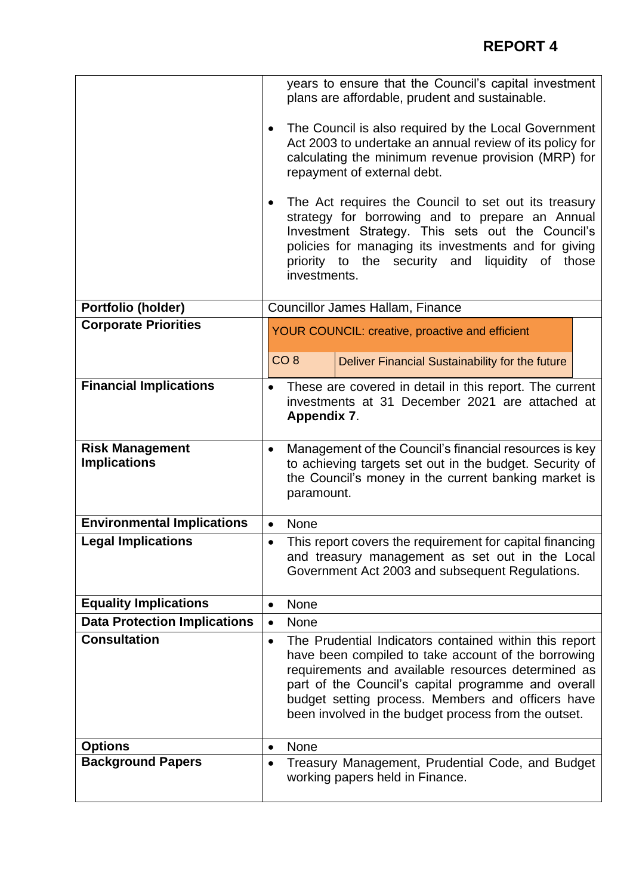|                                               | years to ensure that the Council's capital investment<br>plans are affordable, prudent and sustainable.                                                                                                                                                                                                                                              |  |  |  |
|-----------------------------------------------|------------------------------------------------------------------------------------------------------------------------------------------------------------------------------------------------------------------------------------------------------------------------------------------------------------------------------------------------------|--|--|--|
|                                               | The Council is also required by the Local Government<br>$\bullet$<br>Act 2003 to undertake an annual review of its policy for<br>calculating the minimum revenue provision (MRP) for<br>repayment of external debt.                                                                                                                                  |  |  |  |
|                                               | The Act requires the Council to set out its treasury<br>strategy for borrowing and to prepare an Annual<br>Investment Strategy. This sets out the Council's<br>policies for managing its investments and for giving<br>priority to the security and<br>liquidity<br>of<br>those<br>investments.                                                      |  |  |  |
| Portfolio (holder)                            | <b>Councillor James Hallam, Finance</b>                                                                                                                                                                                                                                                                                                              |  |  |  |
| <b>Corporate Priorities</b>                   | <b>YOUR COUNCIL: creative, proactive and efficient</b>                                                                                                                                                                                                                                                                                               |  |  |  |
|                                               | CO <sub>8</sub><br>Deliver Financial Sustainability for the future                                                                                                                                                                                                                                                                                   |  |  |  |
| <b>Financial Implications</b>                 | These are covered in detail in this report. The current<br>$\bullet$<br>investments at 31 December 2021 are attached at<br><b>Appendix 7.</b>                                                                                                                                                                                                        |  |  |  |
| <b>Risk Management</b><br><b>Implications</b> | Management of the Council's financial resources is key<br>٠<br>to achieving targets set out in the budget. Security of<br>the Council's money in the current banking market is<br>paramount.                                                                                                                                                         |  |  |  |
| <b>Environmental Implications</b>             | None<br>$\bullet$                                                                                                                                                                                                                                                                                                                                    |  |  |  |
| <b>Legal Implications</b>                     | This report covers the requirement for capital financing<br>$\bullet$<br>and treasury management as set out in the Local<br>Government Act 2003 and subsequent Regulations.                                                                                                                                                                          |  |  |  |
| <b>Equality Implications</b>                  | <b>None</b>                                                                                                                                                                                                                                                                                                                                          |  |  |  |
| <b>Data Protection Implications</b>           | <b>None</b><br>$\bullet$                                                                                                                                                                                                                                                                                                                             |  |  |  |
| <b>Consultation</b>                           | The Prudential Indicators contained within this report<br>$\bullet$<br>have been compiled to take account of the borrowing<br>requirements and available resources determined as<br>part of the Council's capital programme and overall<br>budget setting process. Members and officers have<br>been involved in the budget process from the outset. |  |  |  |
| <b>Options</b>                                | <b>None</b><br>$\bullet$                                                                                                                                                                                                                                                                                                                             |  |  |  |
| <b>Background Papers</b>                      | Treasury Management, Prudential Code, and Budget<br>$\bullet$<br>working papers held in Finance.                                                                                                                                                                                                                                                     |  |  |  |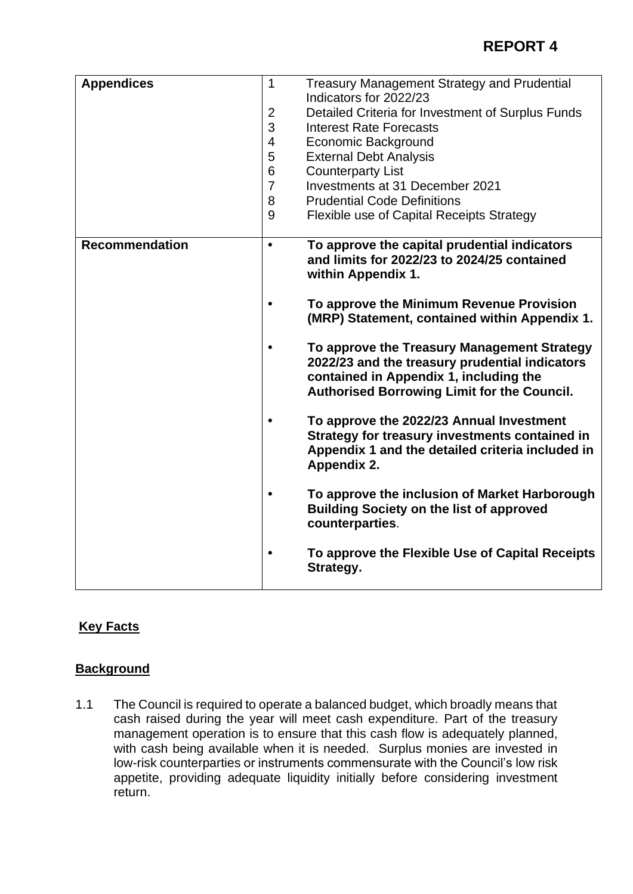| <b>Appendices</b>     | $\mathbf 1$<br>$\overline{2}$<br>3<br>$\overline{\mathbf{4}}$<br>5<br>6<br>$\overline{7}$<br>8<br>9 | <b>Treasury Management Strategy and Prudential</b><br>Indicators for 2022/23<br>Detailed Criteria for Investment of Surplus Funds<br><b>Interest Rate Forecasts</b><br><b>Economic Background</b><br><b>External Debt Analysis</b><br><b>Counterparty List</b><br>Investments at 31 December 2021<br><b>Prudential Code Definitions</b><br><b>Flexible use of Capital Receipts Strategy</b> |
|-----------------------|-----------------------------------------------------------------------------------------------------|---------------------------------------------------------------------------------------------------------------------------------------------------------------------------------------------------------------------------------------------------------------------------------------------------------------------------------------------------------------------------------------------|
| <b>Recommendation</b> | $\bullet$<br>$\bullet$                                                                              | To approve the capital prudential indicators<br>and limits for 2022/23 to 2024/25 contained<br>within Appendix 1.<br>To approve the Minimum Revenue Provision                                                                                                                                                                                                                               |
|                       | $\bullet$                                                                                           | (MRP) Statement, contained within Appendix 1.<br>To approve the Treasury Management Strategy<br>2022/23 and the treasury prudential indicators<br>contained in Appendix 1, including the<br><b>Authorised Borrowing Limit for the Council.</b>                                                                                                                                              |
|                       | $\bullet$                                                                                           | To approve the 2022/23 Annual Investment<br>Strategy for treasury investments contained in<br>Appendix 1 and the detailed criteria included in<br><b>Appendix 2.</b>                                                                                                                                                                                                                        |
|                       | $\bullet$                                                                                           | To approve the inclusion of Market Harborough<br><b>Building Society on the list of approved</b><br>counterparties.                                                                                                                                                                                                                                                                         |
|                       | $\bullet$                                                                                           | To approve the Flexible Use of Capital Receipts<br>Strategy.                                                                                                                                                                                                                                                                                                                                |

# **Key Facts**

# **Background**

1.1 The Council is required to operate a balanced budget, which broadly means that cash raised during the year will meet cash expenditure. Part of the treasury management operation is to ensure that this cash flow is adequately planned, with cash being available when it is needed. Surplus monies are invested in low-risk counterparties or instruments commensurate with the Council's low risk appetite, providing adequate liquidity initially before considering investment return.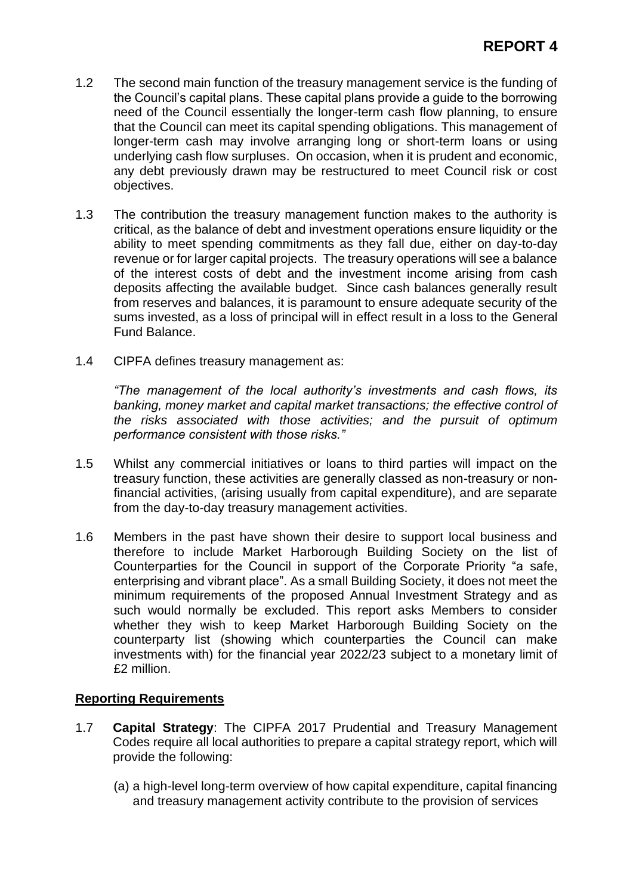- 1.2 The second main function of the treasury management service is the funding of the Council's capital plans. These capital plans provide a guide to the borrowing need of the Council essentially the longer-term cash flow planning, to ensure that the Council can meet its capital spending obligations. This management of longer-term cash may involve arranging long or short-term loans or using underlying cash flow surpluses. On occasion, when it is prudent and economic, any debt previously drawn may be restructured to meet Council risk or cost objectives.
- 1.3 The contribution the treasury management function makes to the authority is critical, as the balance of debt and investment operations ensure liquidity or the ability to meet spending commitments as they fall due, either on day-to-day revenue or for larger capital projects. The treasury operations will see a balance of the interest costs of debt and the investment income arising from cash deposits affecting the available budget. Since cash balances generally result from reserves and balances, it is paramount to ensure adequate security of the sums invested, as a loss of principal will in effect result in a loss to the General Fund Balance.
- 1.4 CIPFA defines treasury management as:

*"The management of the local authority's investments and cash flows, its banking, money market and capital market transactions; the effective control of the risks associated with those activities; and the pursuit of optimum performance consistent with those risks."*

- 1.5 Whilst any commercial initiatives or loans to third parties will impact on the treasury function, these activities are generally classed as non-treasury or nonfinancial activities, (arising usually from capital expenditure), and are separate from the day-to-day treasury management activities.
- 1.6 Members in the past have shown their desire to support local business and therefore to include Market Harborough Building Society on the list of Counterparties for the Council in support of the Corporate Priority "a safe, enterprising and vibrant place". As a small Building Society, it does not meet the minimum requirements of the proposed Annual Investment Strategy and as such would normally be excluded. This report asks Members to consider whether they wish to keep Market Harborough Building Society on the counterparty list (showing which counterparties the Council can make investments with) for the financial year 2022/23 subject to a monetary limit of £2 million.

## **Reporting Requirements**

- 1.7 **Capital Strategy**: The CIPFA 2017 Prudential and Treasury Management Codes require all local authorities to prepare a capital strategy report, which will provide the following:
	- (a) a high-level long-term overview of how capital expenditure, capital financing and treasury management activity contribute to the provision of services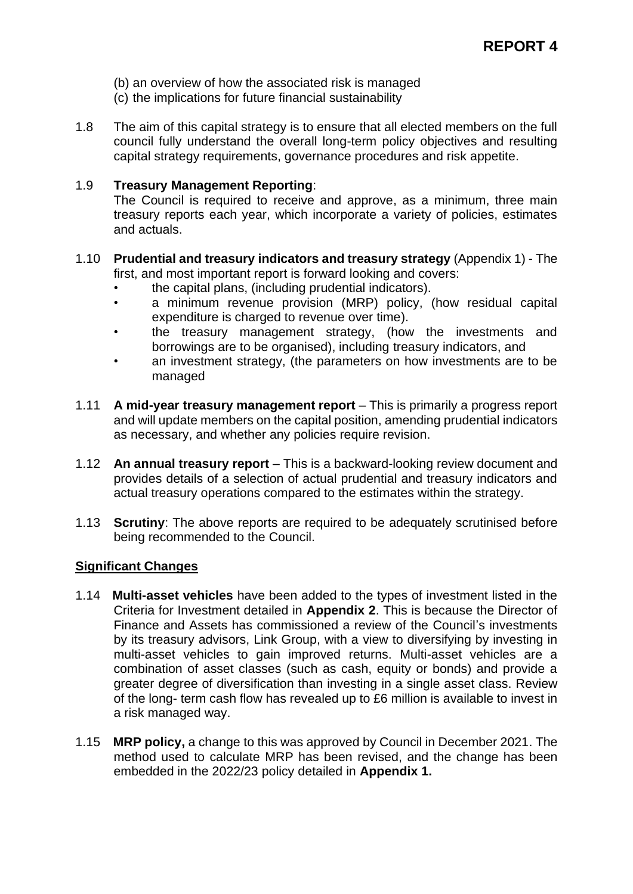- (b) an overview of how the associated risk is managed
- (c) the implications for future financial sustainability
- 1.8 The aim of this capital strategy is to ensure that all elected members on the full council fully understand the overall long-term policy objectives and resulting capital strategy requirements, governance procedures and risk appetite.

#### 1.9 **Treasury Management Reporting**:

The Council is required to receive and approve, as a minimum, three main treasury reports each year, which incorporate a variety of policies, estimates and actuals.

#### 1.10 **Prudential and treasury indicators and treasury strategy** (Appendix 1) - The first, and most important report is forward looking and covers:

- the capital plans, (including prudential indicators).
- a minimum revenue provision (MRP) policy, (how residual capital expenditure is charged to revenue over time).
- the treasury management strategy, (how the investments and borrowings are to be organised), including treasury indicators, and
- an investment strategy, (the parameters on how investments are to be managed
- 1.11 **A mid-year treasury management report** This is primarily a progress report and will update members on the capital position, amending prudential indicators as necessary, and whether any policies require revision.
- 1.12 **An annual treasury report** This is a backward-looking review document and provides details of a selection of actual prudential and treasury indicators and actual treasury operations compared to the estimates within the strategy.
- 1.13 **Scrutiny**: The above reports are required to be adequately scrutinised before being recommended to the Council.

## **Significant Changes**

- 1.14 **Multi-asset vehicles** have been added to the types of investment listed in the Criteria for Investment detailed in **Appendix 2**. This is because the Director of Finance and Assets has commissioned a review of the Council's investments by its treasury advisors, Link Group, with a view to diversifying by investing in multi-asset vehicles to gain improved returns. Multi-asset vehicles are a combination of asset classes (such as cash, equity or bonds) and provide a greater degree of diversification than investing in a single asset class. Review of the long- term cash flow has revealed up to £6 million is available to invest in a risk managed way.
- 1.15 **MRP policy,** a change to this was approved by Council in December 2021. The method used to calculate MRP has been revised, and the change has been embedded in the 2022/23 policy detailed in **Appendix 1.**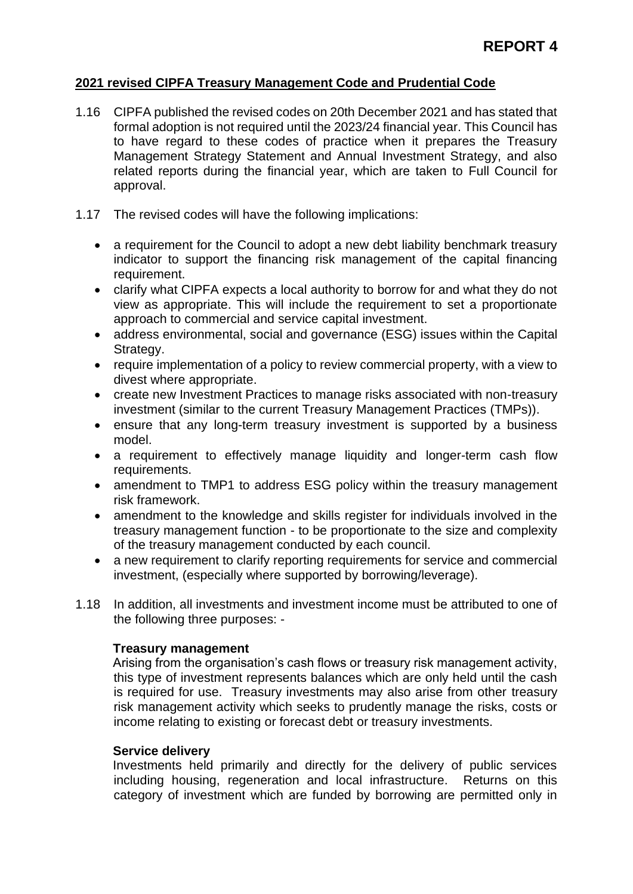## **2021 revised CIPFA Treasury Management Code and Prudential Code**

- 1.16 CIPFA published the revised codes on 20th December 2021 and has stated that formal adoption is not required until the 2023/24 financial year. This Council has to have regard to these codes of practice when it prepares the Treasury Management Strategy Statement and Annual Investment Strategy, and also related reports during the financial year, which are taken to Full Council for approval.
- 1.17 The revised codes will have the following implications:
	- a requirement for the Council to adopt a new debt liability benchmark treasury indicator to support the financing risk management of the capital financing requirement.
	- clarify what CIPFA expects a local authority to borrow for and what they do not view as appropriate. This will include the requirement to set a proportionate approach to commercial and service capital investment.
	- address environmental, social and governance (ESG) issues within the Capital Strategy.
	- require implementation of a policy to review commercial property, with a view to divest where appropriate.
	- create new Investment Practices to manage risks associated with non-treasury investment (similar to the current Treasury Management Practices (TMPs)).
	- ensure that any long-term treasury investment is supported by a business model.
	- a requirement to effectively manage liquidity and longer-term cash flow requirements.
	- amendment to TMP1 to address ESG policy within the treasury management risk framework.
	- amendment to the knowledge and skills register for individuals involved in the treasury management function - to be proportionate to the size and complexity of the treasury management conducted by each council.
	- a new requirement to clarify reporting requirements for service and commercial investment, (especially where supported by borrowing/leverage).
- 1.18 In addition, all investments and investment income must be attributed to one of the following three purposes: -

## **Treasury management**

Arising from the organisation's cash flows or treasury risk management activity, this type of investment represents balances which are only held until the cash is required for use. Treasury investments may also arise from other treasury risk management activity which seeks to prudently manage the risks, costs or income relating to existing or forecast debt or treasury investments.

## **Service delivery**

Investments held primarily and directly for the delivery of public services including housing, regeneration and local infrastructure. Returns on this category of investment which are funded by borrowing are permitted only in